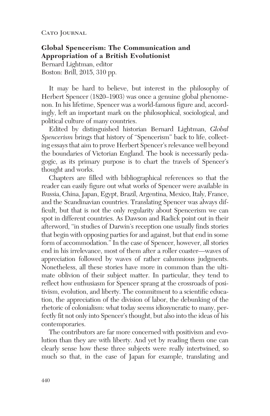CATO JOURNAL

**Global Spencerism: The Communication and Appropriation of a British Evolutionist**

Bernard Lightman, editor Boston: Brill, 2015, 310 pp.

It may be hard to believe, but interest in the philosophy of Herbert Spencer (1820–1903) was once a genuine global phenomenon. In his lifetime, Spencer was a world-famous figure and, accordingly, left an important mark on the philosophical, sociological, and political culture of many countries.

Edited by distinguished historian Bernard Lightman, *Global Spencerism* brings that history of "Spencerism" back to life, collecting essays that aim to prove Herbert Spencer's relevance well beyond the boundaries of Victorian England. The book is necessarily pedagogic, as its primary purpose is to chart the travels of Spencer's thought and works.

Chapters are filled with bibliographical references so that the reader can easily figure out what works of Spencer were available in Russia, China, Japan, Egypt, Brazil, Argentina, Mexico, Italy, France, and the Scandinavian countries. Translating Spencer was always difficult, but that is not the only regularity about Spencerism we can spot in different countries. As Dawson and Radick point out in their afterword, "in studies of Darwin's reception one usually finds stories that begin with opposing parties for and against, but that end in some form of accommodation." In the case of Spencer, however, all stories end in his irrelevance, most of them after a roller coaster—waves of appreciation followed by waves of rather calumnious judgments. Nonetheless, all these stories have more in common than the ultimate oblivion of their subject matter. In particular, they tend to reflect how enthusiasm for Spencer sprang at the crossroads of positivism, evolution, and liberty. The commitment to a scientific education, the appreciation of the division of labor, the debunking of the rhetoric of colonialism: what today seems idiosyncratic to many, perfectly fit not only into Spencer's thought, but also into the ideas of his contemporaries.

The contributors are far more concerned with positivism and evolution than they are with liberty. And yet by reading them one can clearly sense how these three subjects were really intertwined, so much so that, in the case of Japan for example, translating and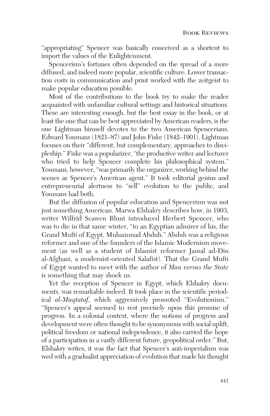"appropriating" Spencer was basically conceived as a shortcut to import the values of the Enlightenment.

Spencerism's fortunes often depended on the spread of a more diffused, and indeed more popular, scientific culture. Lower transaction costs in communication and print worked with the zeitgeist to make popular education possible.

Most of the contributions to the book try to make the reader acquainted with unfamiliar cultural settings and historical situations. These are interesting enough, but the best essay in the book, or at least the one that can be best appreciated by American readers, is the one Lightman himself devotes to the two American Spencerians, Edward Youmans (1821–87) and John Fiske (1842–1901). Lightman focuses on their "different, but complementary, approaches to discipleship." Fiske was a popularizer, "the productive writer and lecturer who tried to help Spencer complete his philosophical system." Youmans, however, "was primarily the organizer, working behind the scenes as Spencer's American agent." It took editorial genius and entrepreneurial alertness to "sell" evolution to the public, and Youmans had both.

But the diffusion of popular education and Spencerism was not just something American. Marwa Elshakry describes how, in 1903, writer Wilfrid Scawen Blunt introduced Herbert Spencer, who was to die in that same winter, "to an Egyptian admirer of his, the Grand Mufti of Egypt, Muhammad Abduh." Abduh was a religious reformer and one of the founders of the Islamic Modernism movement (as well as a student of Islamist reformer Jamal ad-Din al-Afghani, a modernist-oriented Salafist). That the Grand Mufti of Egypt wanted to meet with the author of *Man versus the State* is something that may shock us.

Yet the reception of Spencer in Egypt, which Elshakry documents, was remarkable indeed. It took place in the scientific periodical *al-Muqtataf*, which aggressively promoted "Evolutionism." "Spencer's appeal seemed to rest precisely upon this promise of progress. In a colonial context, where the notions of progress and development were often thought to be synonymous with social uplift, political freedom or national independence, it also carried the hope of a participation in a vastly different future, geopolitical order." But, Elshakry writes, it was the fact that Spencer's anti-imperialism was wed with a gradualist appreciation of evolution that made his thought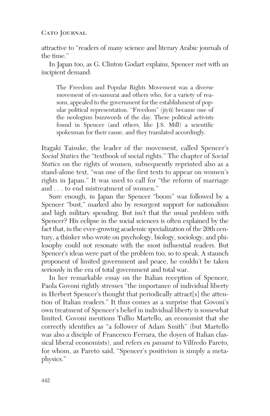## CATO JOURNAL

attractive to "readers of many science and literary Arabic journals of the time."

In Japan too, as G. Clinton Godart explains, Spencer met with an incipient demand:

The Freedom and Popular Rights Movement was a diverse movement of ex-samurai and others who, for a variety of reasons, appealed to the government for the establishment of popular political representation. "Freedom" (jiyū) became one of the neologism buzzwords of the day. These political activists found in Spencer (and others, like J.S. Mill) a scientific spokesman for their cause, and they translated accordingly.

Itagaki Taisuke, the leader of the movement, called Spencer's *Social Statics* the "textbook of social rights." The chapter of *Social Statics* on the rights of women, subsequently reprinted also as a stand-alone text, "was one of the first texts to appear on women's rights in Japan." It was used to call for "the reform of marriage and . . . to end mistreatment of women."

Sure enough, in Japan the Spencer "boom" was followed by a Spencer "bust," marked also by resurgent support for nationalism and high military spending. But isn't that the usual problem with Spencer? His eclipse in the social sciences is often explained by the fact that, in the ever-growing academic specialization of the 20th century, a thinker who wrote on psychology, biology, sociology, and philosophy could not resonate with the most influential readers. But Spencer's ideas were part of the problem too, so to speak. A staunch proponent of limited government and peace, he couldn't be taken seriously in the era of total government and total war.

In her remarkable essay on the Italian reception of Spencer, Paola Govoni rightly stresses "the importance of individual liberty in Herbert Spencer's thought that periodically attract[s] the attention of Italian readers." It thus comes as a surprise that Govoni's own treatment of Spencer's belief in individual liberty is somewhat limited. Govoni mentions Tullio Martello, an economist that she correctly identifies as "a follower of Adam Smith" (but Martello was also a disciple of Francesco Ferrara, the doyen of Italian classical liberal economists), and refers *en passant* to Vilfredo Pareto, for whom, as Pareto said, "Spencer's positivism is simply a metaphysics."